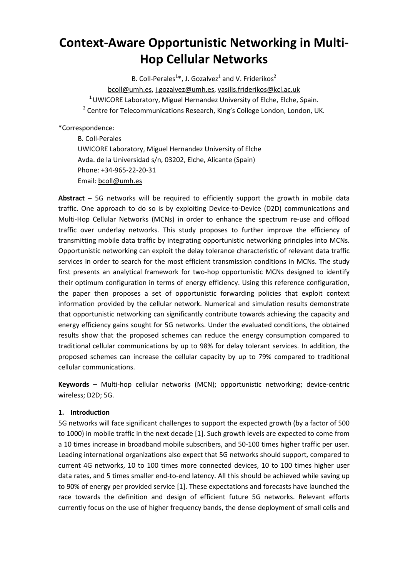The final publication version is available at: http://www.sciencedirect.com/science/article/pii/S1570870515002103 DOI: 10.1016/j.adhoc.2015.09.004

# **Context-Aware Opportunistic Networking in Multi-Hop Cellular Networks**

B. Coll-Perales<sup>1\*</sup>, J. Gozalvez<sup>1</sup> and V. Friderikos<sup>2</sup> [bcoll@umh.es,](mailto:bcoll@umh.es) [j.gozalvez@umh.es,](mailto:j.gozalvez@umh.es) [vasilis.friderikos@kcl.ac.uk](mailto:vasilis.friderikos@kcl.ac.uk)  $1$  UWICORE Laboratory, Miguel Hernandez University of Elche, Elche, Spain.  $2$  Centre for Telecommunications Research, King's College London, London, UK.

\*Correspondence:

B. Coll-Perales UWICORE Laboratory, Miguel Hernandez University of Elche Avda. de la Universidad s/n, 03202, Elche, Alicante (Spain) Phone: +34-965-22-20-31 Email: [bcoll@umh.es](mailto:bcoll@umh.es)

**Abstract –** 5G networks will be required to efficiently support the growth in mobile data traffic. One approach to do so is by exploiting Device-to-Device (D2D) communications and Multi-Hop Cellular Networks (MCNs) in order to enhance the spectrum re-use and offload traffic over underlay networks. This study proposes to further improve the efficiency of transmitting mobile data traffic by integrating opportunistic networking principles into MCNs. Opportunistic networking can exploit the delay tolerance characteristic of relevant data traffic services in order to search for the most efficient transmission conditions in MCNs. The study first presents an analytical framework for two-hop opportunistic MCNs designed to identify their optimum configuration in terms of energy efficiency. Using this reference configuration, the paper then proposes a set of opportunistic forwarding policies that exploit context information provided by the cellular network. Numerical and simulation results demonstrate that opportunistic networking can significantly contribute towards achieving the capacity and energy efficiency gains sought for 5G networks. Under the evaluated conditions, the obtained results show that the proposed schemes can reduce the energy consumption compared to traditional cellular communications by up to 98% for delay tolerant services. In addition, the proposed schemes can increase the cellular capacity by up to 79% compared to traditional cellular communications.

**Keywords** – Multi-hop cellular networks (MCN); opportunistic networking; device-centric wireless; D2D; 5G.

# **1. Introduction**

5G networks will face significant challenges to support the expected growth (by a factor of 500 to 1000) in mobile traffic in the next decade [\[1\].](#page-26-0) Such growth levels are expected to come from a 10 times increase in broadband mobile subscribers, and 50-100 times higher traffic per user. Leading international organizations also expect that 5G networks should support, compared to current 4G networks, 10 to 100 times more connected devices, 10 to 100 times higher user data rates, and 5 times smaller end-to-end latency. All this should be achieved while saving up to 90% of energy per provided service [\[1\].](#page-26-0) These expectations and forecasts have launched the race towards the definition and design of efficient future 5G networks. Relevant efforts currently focus on the use of higher frequency bands, the dense deployment of small cells and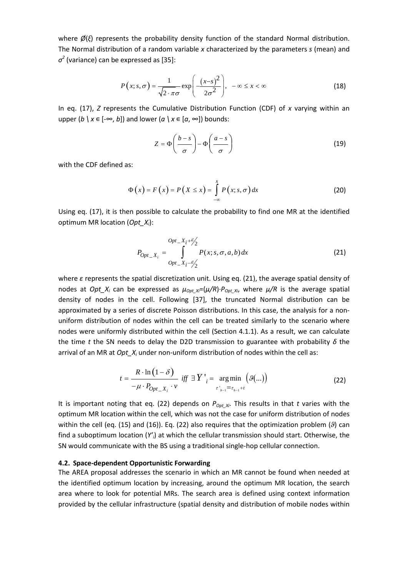where *Ø*(*ξ*) represents the probability density function of the standard Normal distribution. The Normal distribution of a random variable *x* characterized by the parameters *s* (mean) and *σ<sup>2</sup>* (variance) can be expressed a[s \[35\]:](#page-28-0)

$$
P(x; s, \sigma) = \frac{1}{\sqrt{2 \cdot \pi} \sigma} \exp\left(-\frac{(x-s)^2}{2\sigma^2}\right), \quad -\infty \le x < \infty
$$
 (18)

In eq. (17), *Z* represents the Cumulative Distribution Function (CDF) of *x* varying within an upper  $(b \mid x \in [-\infty, b])$  and lower  $(a \mid x \in [a, \infty])$  bounds:

$$
Z = \Phi\left(\frac{b-s}{\sigma}\right) - \Phi\left(\frac{a-s}{\sigma}\right) \tag{19}
$$

with the CDF defined as:

$$
\Phi(x) = F(x) = P(x \le x) = \int_{-\infty}^{x} P(x; s, \sigma) dx \qquad (20)
$$

Using eq. (17), it is then possible to calculate the probability to find one MR at the identified optimum MR location (*Opt\_Xi* ):

$$
P_{Opt\_X_i} = \int_{Opt\_X_i - \frac{\epsilon}{2}}^{Opt\_X_i + \frac{\epsilon}{2}} P(x; s, \sigma, a, b) dx
$$
 (21)

where *ε* represents the spatial discretization unit. Using eq. (21), the average spatial density of nodes at *Opt\_X<sub>i</sub>* can be expressed as  $\mu_{Out Xi} = (\mu/R) \cdot P_{Out Xi}$ , where  $\mu/R$  is the average spatial density of nodes in the cell. Following [\[37\],](#page-28-1) the truncated Normal distribution can be approximated by a series of discrete Poisson distributions. In this case, the analysis for a nonuniform distribution of nodes within the cell can be treated similarly to the scenario where nodes were uniformly distributed within the cell (Section [4.1.1\)](#page-10-0). As a result, we can calculate the time *t* the SN needs to delay the D2D transmission to guarantee with probability *δ* the arrival of an MR at *Opt X<sub>i</sub>* under non-uniform distribution of nodes within the cell as:

$$
t = \frac{R \cdot \ln(1 - \delta)}{-\mu \cdot P_{Opt\_X_i} \cdot \nu} \quad \text{iff} \quad \exists Y'_{i} = \underset{\substack{\tau'_{b-1} = \tau_{b-1} + t}}{\arg \min} (\mathcal{G}(\ldots)) \tag{22}
$$

It is important noting that eq. (22) depends on  $P_{Opt X_i}$ . This results in that *t* varies with the optimum MR location within the cell, which was not the case for uniform distribution of nodes within the cell (eq. (15) and (16)). Eq. (22) also requires that the optimization problem (*ϑ*) can find a suboptimum location (*Y'i* ) at which the cellular transmission should start. Otherwise, the SN would communicate with the BS using a traditional single-hop cellular connection.

#### **4.2. Space-dependent Opportunistic Forwarding**

The AREA proposal addresses the scenario in which an MR cannot be found when needed at the identified optimum location by increasing, around the optimum MR location, the search area where to look for potential MRs. The search area is defined using context information provided by the cellular infrastructure (spatial density and distribution of mobile nodes within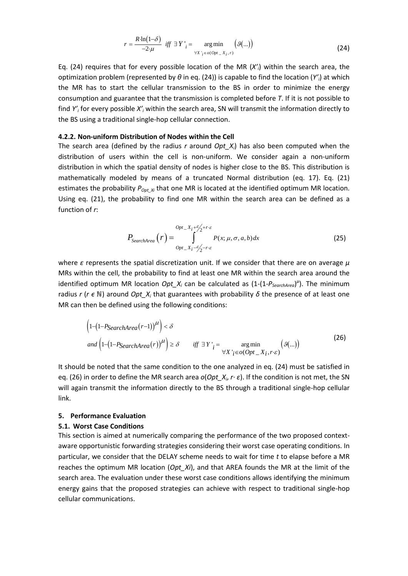$$
r = \frac{R \cdot \ln(1-\delta)}{-2 \cdot \mu} \quad \text{iff} \quad \exists \ Y \Big|_{i} = \underset{\forall X \ \cdot_{i} \in o(Opt_{-} X_{i}, r)}{\arg \min} \Big( \mathcal{G}(\ldots) \Big) \tag{24}
$$

Eq. (24) requires that for every possible location of the MR (*X'i*) within the search area, the optimization problem (represented by  $\theta$  in eq. (24)) is capable to find the location (Y'<sub>i</sub>) at which the MR has to start the cellular transmission to the BS in order to minimize the energy consumption and guarantee that the transmission is completed before *T*. If it is not possible to find *Y'i* for every possible *X'i* within the search area, SN will transmit the information directly to the BS using a traditional single-hop cellular connection.

#### **4.2.2. Non-uniform Distribution of Nodes within the Cell**

The search area (defined by the radius *r* around *Opt*  $X_i$ *)* has also been computed when the distribution of users within the cell is non-uniform. We consider again a non-uniform distribution in which the spatial density of nodes is higher close to the BS. This distribution is mathematically modeled by means of a truncated Normal distribution (eq. 17). Eq. (21) estimates the probability  $P_{\text{Opt } Xi}$  that one MR is located at the identified optimum MR location. Using eq. (21), the probability to find one MR within the search area can be defined as a function of *r*:

$$
P_{SearchArea}\left(r\right) = \int_{opt_{X_i} - \frac{\epsilon}{2}r \cdot \epsilon}^{Opt_{X_i} + \frac{\epsilon}{2}r \cdot \epsilon} P(x; \mu, \sigma, a, b) dx
$$
 (25)

where *ε* represents the spatial discretization unit. If we consider that there are on average *μ* MRs within the cell, the probability to find at least one MR within the search area around the identified optimum MR location *Opt\_X<sub>i</sub>* can be calculated as  $(1-(1-P_{SearchArea})^{\mu})$ . The minimum radius  $r$  ( $r \in \mathbb{N}$ ) around *Opt\_X<sub>i</sub>* that guarantees with probability  $\delta$  the presence of at least one MR can then be defined using the following conditions:

$$
\left(1 - \left(1 - P_{SearchArea}(r-1)\right)^{\mu}\right) < \delta
$$
\n
$$
and \left(1 - \left(1 - P_{SearchArea}(r)\right)^{\mu}\right) \geq \delta \qquad iff \ \exists Y \, \big|_{i} = \operatorname*{arg\,min}_{\forall X \, \, \, i \in O(\text{Opt } \mathcal{X}_i, r \cdot \varepsilon)} \left(g(\ldots)\right) \tag{26}
$$

It should be noted that the same condition to the one analyzed in eq. (24) must be satisfied in eq. (26) in order to define the MR search area *o*(*Opt\_Xi*, *r· ε*). If the condition is not met, the SN will again transmit the information directly to the BS through a traditional single-hop cellular link.

### **5. Performance Evaluation**

#### <span id="page-13-0"></span>**5.1. Worst Case Conditions**

This section is aimed at numerically comparing the performance of the two proposed contextaware opportunistic forwarding strategies considering their worst case operating conditions. In particular, we consider that the DELAY scheme needs to wait for time *t* to elapse before a MR reaches the optimum MR location (*Opt\_Xi*), and that AREA founds the MR at the limit of the search area. The evaluation under these worst case conditions allows identifying the minimum energy gains that the proposed strategies can achieve with respect to traditional single-hop cellular communications.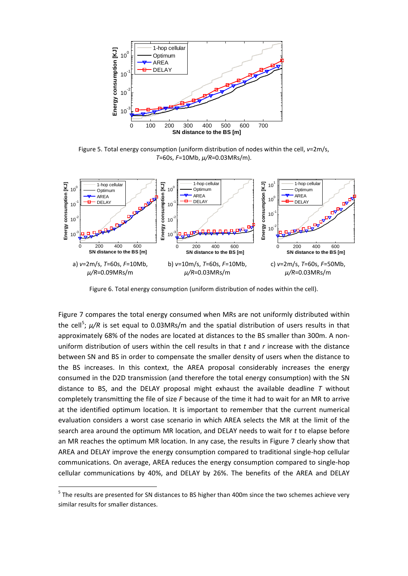

<span id="page-16-1"></span>Figure 5. Total energy consumption (uniform distribution of nodes within the cell, *v*=2m/s, *T*=60s, *F*=10Mb, *μ/R*=0.03MRs/m).



Figure 6. Total energy consumption (uniform distribution of nodes within the cell).

[Figure 7](#page-17-0) compares the total energy consumed when MRs are not uniformly distributed within the cell<sup>[5](#page-16-0)</sup>;  $\mu$ /R is set equal to 0.03MRs/m and the spatial distribution of users results in that approximately 68% of the nodes are located at distances to the BS smaller than 300m. A nonuniform distribution of users within the cell results in that *t* and *r* increase with the distance between SN and BS in order to compensate the smaller density of users when the distance to the BS increases. In this context, the AREA proposal considerably increases the energy consumed in the D2D transmission (and therefore the total energy consumption) with the SN distance to BS, and the DELAY proposal might exhaust the available deadline *T* without completely transmitting the file of size *F* because of the time it had to wait for an MR to arrive at the identified optimum location. It is important to remember that the current numerical evaluation considers a worst case scenario in which AREA selects the MR at the limit of the search area around the optimum MR location, and DELAY needs to wait for *t* to elapse before an MR reaches the optimum MR location. In any case, the results in [Figure 7](#page-17-0) clearly show that AREA and DELAY improve the energy consumption compared to traditional single-hop cellular communications. On average, AREA reduces the energy consumption compared to single-hop cellular communications by 40%, and DELAY by 26%. The benefits of the AREA and DELAY

<span id="page-16-0"></span><sup>&</sup>lt;sup>5</sup> The results are presented for SN distances to BS higher than 400m since the two schemes achieve very similar results for smaller distances.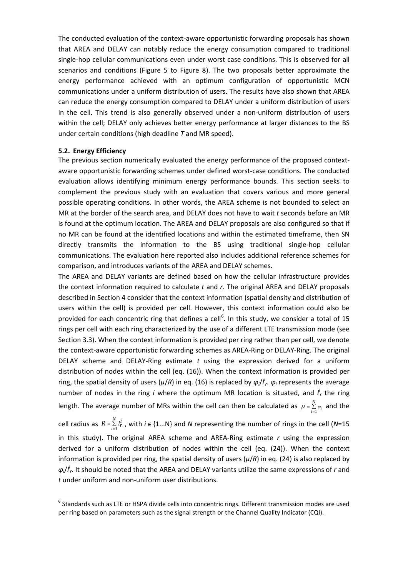The conducted evaluation of the context-aware opportunistic forwarding proposals has shown that AREA and DELAY can notably reduce the energy consumption compared to traditional single-hop cellular communications even under worst case conditions. This is observed for all scenarios and conditions [\(Figure 5](#page-16-1) to [Figure 8\)](#page-17-1). The two proposals better approximate the energy performance achieved with an optimum configuration of opportunistic MCN communications under a uniform distribution of users. The results have also shown that AREA can reduce the energy consumption compared to DELAY under a uniform distribution of users in the cell. This trend is also generally observed under a non-uniform distribution of users within the cell; DELAY only achieves better energy performance at larger distances to the BS under certain conditions (high deadline *T* and MR speed).

#### **5.2. Energy Efficiency**

The previous section numerically evaluated the energy performance of the proposed contextaware opportunistic forwarding schemes under defined worst-case conditions. The conducted evaluation allows identifying minimum energy performance bounds. This section seeks to complement the previous study with an evaluation that covers various and more general possible operating conditions. In other words, the AREA scheme is not bounded to select an MR at the border of the search area, and DELAY does not have to wait *t* seconds before an MR is found at the optimum location. The AREA and DELAY proposals are also configured so that if no MR can be found at the identified locations and within the estimated timeframe, then SN directly transmits the information to the BS using traditional single-hop cellular communications. The evaluation here reported also includes additional reference schemes for comparison, and introduces variants of the AREA and DELAY schemes.

The AREA and DELAY variants are defined based on how the cellular infrastructure provides the context information required to calculate *t* and *r*. The original AREA and DELAY proposals described in Sectio[n 4](#page-8-0) consider that the context information (spatial density and distribution of users within the cell) is provided per cell. However, this context information could also be provided for each concentric ring that defines a cell<sup>[6](#page-18-0)</sup>. In this study, we consider a total of 15 rings per cell with each ring characterized by the use of a different LTE transmission mode (see Sectio[n 3.3\)](#page-7-0). When the context information is provided per ring rather than per cell, we denote the context-aware opportunistic forwarding schemes as AREA-Ring or DELAY-Ring. The original DELAY scheme and DELAY-Ring estimate *t* using the expression derived for a uniform distribution of nodes within the cell (eq. (16)). When the context information is provided per ring, the spatial density of users (*μ*/*R*) in eq. (16) is replaced by *φi*/*l i <sup>r</sup>*. *φ<sup>i</sup>* represents the average number of nodes in the ring *i* where the optimum MR location is situated, and  $I'_r$  the ring length. The average number of MRs within the cell can then be calculated as  $\mu$  =  $\sum\limits_{i=1}^{N}$  $\mu = \sum_{i=1}^{N} \varphi_i$  and the

cell radius as  $R = \sum_{i=1}^{\infty}$ *N i*  $R = \sum\limits_{i=1}^N l_r^i$  , with *i*  $\in$  {1...N} and *N* representing the number of rings in the cell (*N*=15 in this study). The original AREA scheme and AREA-Ring estimate *r* using the expression derived for a uniform distribution of nodes within the cell (eq. (24)). When the context information is provided per ring, the spatial density of users (*μ*/*R*) in eq. (24) is also replaced by *φi*/*l i <sup>r</sup>*. It should be noted that the AREA and DELAY variants utilize the same expressions of *r* and *t* under uniform and non-uniform user distributions.

<span id="page-18-0"></span><sup>&</sup>lt;sup>6</sup> Standards such as LTE or HSPA divide cells into concentric rings. Different transmission modes are used per ring based on parameters such as the signal strength or the Channel Quality Indicator (CQI).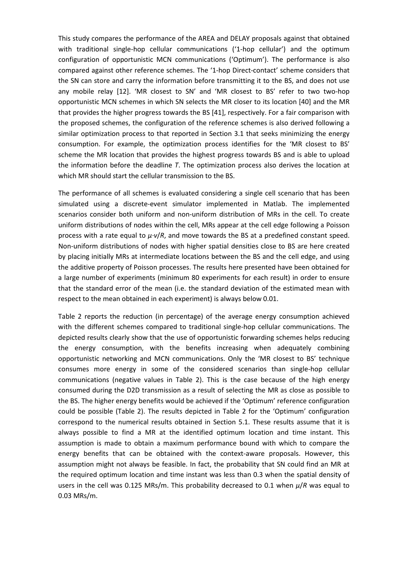5)\*4 \*4 "/ "65)03 \$3&"5&% 104513\*/5 7&34\*0/ 51F GJOBM QVCMJDBUJPO WFSTJPO JT BWBJMBCMF BU  $IUIUQ$  $X$  $% 0*$ K RFIPD

# Context-Aware Opportunistic Networking in Multi -**Hop Cellular Networks**

 $1$  and V. Friderikos<sup>2</sup> B. Coll-Perales<sup>1</sup>, J. Goale bcollumh.es , .goaleumh.es , asilis.friderikoskcl.ac.uk <sup>1</sup> UWICORE Laboratory, Miguel Hernande Uniersity of Elche, Elche, Spain. <sup>2</sup> Centre for Telecommunications Research, ing's College London, London, U.

#### Correspondence

**B. Coll-Perales UWICORE Laboratory, Miquel Hernande Uniersity of Elche** Ada. de la Uniersidad sn, 03202, Elche, Alicante (Spain) Phone +3 -5 -22-20-31 Email bcollumh.es

Abstract  $-5G$  networks will be reuired to efficiently support the growth in mobile data traffic. One approach to do so is by exploiting Deice -to-Deice (D2D) communications and Multi-Hop Cellular Networks (MCNs) in order to enhance the spectrum re- use and offload traffic oer underlay networks. T his study proposes to further improe the efficiency of transmitting mobile data traffic by integrating opportunistic networking principles into MCNs. Opportunistic networking can exploit the delay tolerance characteristic of releant data traffic serices in order to search for the mo st efficient transmission conditions in MCNs. The study first presents an analytical framework for two-hop opportunistic MCNs designed to identify their optimum configuration in terms of energy efficiency. Using this reference configuration, the paper then proposes a set of opportunistic forwarding policies that exploit context information proided by the cellular network. Numerical and simulation results demonstrate that opportunistic networking can significantly contribute towards achieing the capacity and energy efficiency gains sought for 5G networks. Under the ealuated conditions, the obtained results show that the proposed schemes can reduce the energy consumption compared to traditional cellular communications by up to 8 for delay tolerant serice s. In addition, the proposed schemes can increase the cellular capacity by up to compared to traditional cellular communications.

Keywords - Multi-hop cellular networks (MCN) opportunistic networking deice -centric wireless  $D2D$  5G.

## 1. Introduction

5G networks will face significant challenges to support the expected growth (by a factor of 500 to 1000) in mobile traffic in the next decade 1 . Such growth leels are expected to come from a 10 times increase in broadband mobile subscribers, and 50-100 times higher traffic per user. Leading international organiations also expect that 5G networks should support, compared to current G networks, 10 to 100 times more connected deices, 10 to 100 times higher user data rates, and 5 times smaller end-to-end latency. All this should be achieed while saing up to 0 of energy per proided serice 1. These expectations and forecasts hae launched the race towards the definition and design of efficient future 5G networks. Releant efforts currently focus on the use of higher freuency bands, the dense deployment of small cells and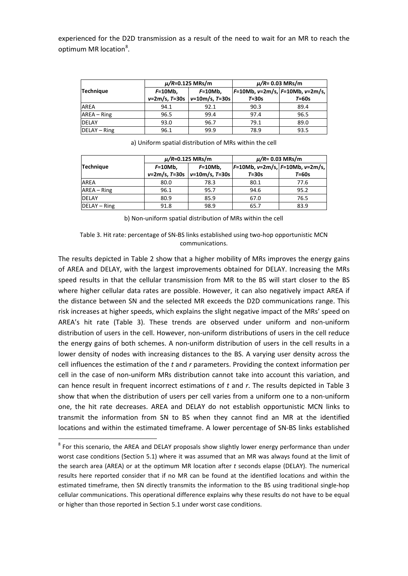experienced for the D2D transmission as a result of the need to wait for an MR to reach the optimum MR location<sup>[8](#page-21-1)</sup>.

|                  |                         | $\mu/R = 0.125$ MRs/m | $\mu/R = 0.03$ MRs/m |                                   |  |
|------------------|-------------------------|-----------------------|----------------------|-----------------------------------|--|
| <b>Technique</b> | $F=10Mb.$<br>$F=10Mb$ , |                       |                      | $F=10Mb, v=2m/s, F=10Mb, v=2m/s,$ |  |
|                  | $v=2m/s, T=30s$         | $v=10m/s, T=30s$      | $T = 30s$            | $T = 60s$                         |  |
| <b>AREA</b>      | 94.1                    | 92.1                  | 90.3                 | 89.4                              |  |
| AREA - Ring      | 96.5                    | 99.4                  | 97.4                 | 96.5                              |  |
| <b>DELAY</b>     | 93.0                    | 96.7                  | 79.1                 | 89.0                              |  |
| DELAY - Ring     | 96.1                    | 99.9                  | 78.9                 | 93.5                              |  |

|                  |                         | $\mu/R = 0.125$ MRs/m | $\mu/R = 0.03$ MRs/m              |         |  |
|------------------|-------------------------|-----------------------|-----------------------------------|---------|--|
| <b>Technique</b> | $F=10Mb$ ,<br>$F=10Mb,$ |                       | $F=10Mb, v=2m/s, F=10Mb, v=2m/s,$ |         |  |
|                  | $v=2m/s, T=30s$         | $v=10m/s, T=30s$      | $T = 30s$                         | $T=60s$ |  |
| AREA             | 80.0                    | 78.3                  | 80.1                              | 77.6    |  |
| $AREA - Ring$    | 96.1                    | 95.7                  | 94.6                              | 95.2    |  |
| <b>DELAY</b>     | 80.9                    | 85.9                  | 67.0                              | 76.5    |  |
| $DELAY - Ring$   | 91.8                    | 98.9                  | 65.7                              | 83.9    |  |

a) Uniform spatial distribution of MRs within the cell

#### <span id="page-21-0"></span>Table 3. Hit rate: percentage of SN-BS links established using two-hop opportunistic MCN communications.

The results depicted in [Table 2](#page-20-0) show that a higher mobility of MRs improves the energy gains of AREA and DELAY, with the largest improvements obtained for DELAY. Increasing the MRs speed results in that the cellular transmission from MR to the BS will start closer to the BS where higher cellular data rates are possible. However, it can also negatively impact AREA if the distance between SN and the selected MR exceeds the D2D communications range. This risk increases at higher speeds, which explains the slight negative impact of the MRs' speed on AREA's hit rate [\(Table 3\)](#page-21-0). These trends are observed under uniform and non-uniform distribution of users in the cell. However, non-uniform distributions of users in the cell reduce the energy gains of both schemes. A non-uniform distribution of users in the cell results in a lower density of nodes with increasing distances to the BS. A varying user density across the cell influences the estimation of the *t* and *r* parameters. Providing the context information per cell in the case of non-uniform MRs distribution cannot take into account this variation, and can hence result in frequent incorrect estimations of *t* and *r*. The results depicted in [Table 3](#page-21-0) show that when the distribution of users per cell varies from a uniform one to a non-uniform one, the hit rate decreases. AREA and DELAY do not establish opportunistic MCN links to transmit the information from SN to BS when they cannot find an MR at the identified locations and within the estimated timeframe. A lower percentage of SN-BS links established

b) Non-uniform spatial distribution of MRs within the cell

<span id="page-21-1"></span><sup>&</sup>lt;sup>8</sup> For this scenario, the AREA and DELAY proposals show slightly lower energy performance than under worst case conditions (Section 5.1) where it was assumed that an MR was always found at the limit of the search area (AREA) or at the optimum MR location after *t* seconds elapse (DELAY). The numerical results here reported consider that if no MR can be found at the identified locations and within the estimated timeframe, then SN directly transmits the information to the BS using traditional single-hop cellular communications. This operational difference explains why these results do not have to be equal or higher than those reported in Section 5.1 under worst case conditions.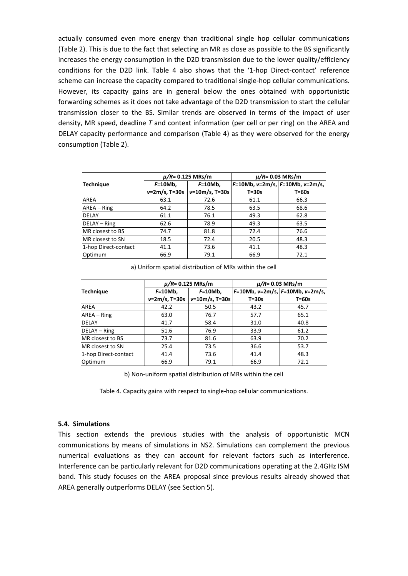actually consumed even more energy than traditional single hop cellular communications [\(Table 2\)](#page-20-0). This is due to the fact that selecting an MR as close as possible to the BS significantly increases the energy consumption in the D2D transmission due to the lower quality/efficiency conditions for the D2D link. [Table 4](#page-23-0) also shows that the '1-hop Direct-contact' reference scheme can increase the capacity compared to traditional single-hop cellular communications. However, its capacity gains are in general below the ones obtained with opportunistic forwarding schemes as it does not take advantage of the D2D transmission to start the cellular transmission closer to the BS. Similar trends are observed in terms of the impact of user density, MR speed, deadline *T* and context information (per cell or per ring) on the AREA and DELAY capacity performance and comparison [\(Table 4\)](#page-23-0) as they were observed for the energy consumption [\(Table 2\)](#page-20-0).

|                         |                          | $\mu/R = 0.125$ MRs/m | $\mu/R = 0.03$ MRs/m               |           |  |
|-------------------------|--------------------------|-----------------------|------------------------------------|-----------|--|
| Technique               | $F=10Mb$ ,<br>$F=10Mb$ , |                       | $F=10Mb, v=2m/s,  F=10Mb, v=2m/s,$ |           |  |
|                         | $v = 2m/s, T = 30s$      | $v=10m/s, T=30s$      | $T = 30s$                          | $T = 60s$ |  |
| <b>AREA</b>             | 63.1                     | 72.6                  | 61.1                               | 66.3      |  |
| $AREA - Ring$           | 64.2                     | 78.5                  | 63.5                               | 68.6      |  |
| <b>DELAY</b>            | 61.1                     | 76.1                  | 49.3                               | 62.8      |  |
| DELAY - Ring            | 62.6                     | 78.9                  | 49.3                               | 63.5      |  |
| MR closest to BS        | 74.7                     | 81.8                  | 72.4                               | 76.6      |  |
| <b>MR</b> closest to SN | 18.5                     | 72.4                  | 20.5                               | 48.3      |  |
| 1-hop Direct-contact    | 41.1                     | 73.6                  | 41.1                               | 48.3      |  |
| Optimum                 | 66.9                     | 79.1                  | 66.9                               | 72.1      |  |

a) Uniform spatial distribution of MRs within the cell

|                         |                          | $\mu/R = 0.125$ MRs/m | $\mu/R = 0.03$ MRs/m               |           |  |
|-------------------------|--------------------------|-----------------------|------------------------------------|-----------|--|
| <b>Technique</b>        | $F=10Mb$ ,<br>$F=10Mb$ , |                       | $F=10Mb, v=2m/s,  F=10Mb, v=2m/s,$ |           |  |
|                         | $v=2m/s, T=30s$          | $v=10m/s, T=30s$      | $T = 30s$                          | $T = 60s$ |  |
| <b>AREA</b>             | 42.2                     | 50.5                  | 43.2                               | 45.7      |  |
| AREA – Ring             | 63.0                     | 76.7                  | 57.7                               | 65.1      |  |
| <b>DELAY</b>            | 41.7                     | 58.4                  | 31.0                               | 40.8      |  |
| DELAY - Ring            | 51.6                     | 76.9                  | 33.9                               | 61.2      |  |
| MR closest to BS        | 73.7                     | 81.6                  | 63.9                               | 70.2      |  |
| <b>MR</b> closest to SN | 25.4                     | 73.5                  | 36.6                               | 53.7      |  |
| 1-hop Direct-contact    | 41.4                     | 73.6                  | 41.4                               | 48.3      |  |
| Optimum                 | 66.9                     | 79.1                  | 66.9                               | 72.1      |  |

b) Non-uniform spatial distribution of MRs within the cell

Table 4. Capacity gains with respect to single-hop cellular communications.

#### <span id="page-23-0"></span>**5.4. Simulations**

This section extends the previous studies with the analysis of opportunistic MCN communications by means of simulations in NS2. Simulations can complement the previous numerical evaluations as they can account for relevant factors such as interference. Interference can be particularly relevant for D2D communications operating at the 2.4GHz ISM band. This study focuses on the AREA proposal since previous results already showed that AREA generally outperforms DELAY (see Section 5).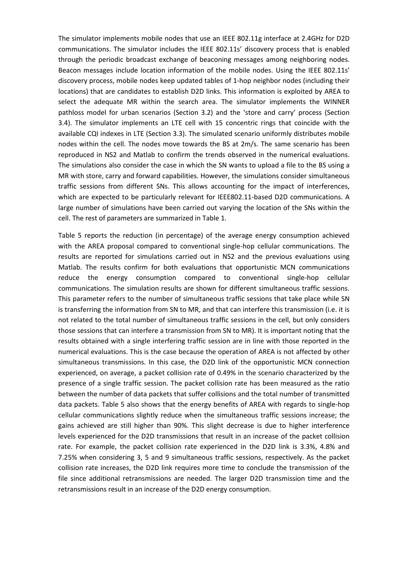The simulator implements mobile nodes that use an IEEE 802.11g interface at 2.4GHz for D2D communications. The simulator includes the IEEE 802.11s' discovery process that is enabled through the periodic broadcast exchange of beaconing messages among neighboring nodes. Beacon messages include location information of the mobile nodes. Using the IEEE 802.11s' discovery process, mobile nodes keep updated tables of 1-hop neighbor nodes (including their locations) that are candidates to establish D2D links. This information is exploited by AREA to select the adequate MR within the search area. The simulator implements the WINNER pathloss model for urban scenarios (Section 3.2) and the 'store and carry' process (Section 3.4). The simulator implements an LTE cell with 15 concentric rings that coincide with the available CQI indexes in LTE (Section 3.3). The simulated scenario uniformly distributes mobile nodes within the cell. The nodes move towards the BS at 2m/s. The same scenario has been reproduced in NS2 and Matlab to confirm the trends observed in the numerical evaluations. The simulations also consider the case in which the SN wants to upload a file to the BS using a MR with store, carry and forward capabilities. However, the simulations consider simultaneous traffic sessions from different SNs. This allows accounting for the impact of interferences, which are expected to be particularly relevant for IEEE802.11-based D2D communications. A large number of simulations have been carried out varying the location of the SNs within the cell. The rest of parameters are summarized in Table 1.

Table 5 reports the reduction (in percentage) of the average energy consumption achieved with the AREA proposal compared to conventional single-hop cellular communications. The results are reported for simulations carried out in NS2 and the previous evaluations using Matlab. The results confirm for both evaluations that opportunistic MCN communications reduce the energy consumption compared to conventional single-hop cellular communications. The simulation results are shown for different simultaneous traffic sessions. This parameter refers to the number of simultaneous traffic sessions that take place while SN is transferring the information from SN to MR, and that can interfere this transmission (i.e. it is not related to the total number of simultaneous traffic sessions in the cell, but only considers those sessions that can interfere a transmission from SN to MR). It is important noting that the results obtained with a single interfering traffic session are in line with those reported in the numerical evaluations. This is the case because the operation of AREA is not affected by other simultaneous transmissions. In this case, the D2D link of the opportunistic MCN connection experienced, on average, a packet collision rate of 0.49% in the scenario characterized by the presence of a single traffic session. The packet collision rate has been measured as the ratio between the number of data packets that suffer collisions and the total number of transmitted data packets. Table 5 also shows that the energy benefits of AREA with regards to single-hop cellular communications slightly reduce when the simultaneous traffic sessions increase; the gains achieved are still higher than 90%. This slight decrease is due to higher interference levels experienced for the D2D transmissions that result in an increase of the packet collision rate. For example, the packet collision rate experienced in the D2D link is 3.3%, 4.8% and 7.25% when considering 3, 5 and 9 simultaneous traffic sessions, respectively. As the packet collision rate increases, the D2D link requires more time to conclude the transmission of the file since additional retransmissions are needed. The larger D2D transmission time and the retransmissions result in an increase of the D2D energy consumption.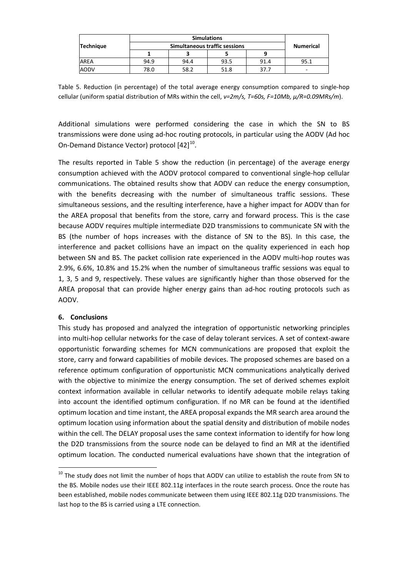|                  |      | <b>Numerical</b> |      |      |      |
|------------------|------|------------------|------|------|------|
| <b>Technique</b> |      |                  |      |      |      |
|                  |      |                  |      |      |      |
| AREA             | 94.9 | 94.4             | 93.5 | 91.4 | 95.1 |
| AODV             | 78.0 | 58.2             | 51.8 | 37.7 | -    |

Table 5. Reduction (in percentage) of the total average energy consumption compared to single-hop cellular (uniform spatial distribution of MRs within the cell, *v=2m/s, T=60s, F=10Mb, μ/R=0.09MRs/m*).

Additional simulations were performed considering the case in which the SN to BS transmissions were done using ad-hoc routing protocols, in particular using the AODV (Ad hoc On-Demand Distance Vector) protocol  $[42]^{10}$  $[42]^{10}$  $[42]^{10}$  $[42]^{10}$ .

The results reported in Table 5 show the reduction (in percentage) of the average energy consumption achieved with the AODV protocol compared to conventional single-hop cellular communications. The obtained results show that AODV can reduce the energy consumption, with the benefits decreasing with the number of simultaneous traffic sessions. These simultaneous sessions, and the resulting interference, have a higher impact for AODV than for the AREA proposal that benefits from the store, carry and forward process. This is the case because AODV requires multiple intermediate D2D transmissions to communicate SN with the BS (the number of hops increases with the distance of SN to the BS). In this case, the interference and packet collisions have an impact on the quality experienced in each hop between SN and BS. The packet collision rate experienced in the AODV multi-hop routes was 2.9%, 6.6%, 10.8% and 15.2% when the number of simultaneous traffic sessions was equal to 1, 3, 5 and 9, respectively. These values are significantly higher than those observed for the AREA proposal that can provide higher energy gains than ad-hoc routing protocols such as AODV.

## **6. Conclusions**

This study has proposed and analyzed the integration of opportunistic networking principles into multi-hop cellular networks for the case of delay tolerant services. A set of context-aware opportunistic forwarding schemes for MCN communications are proposed that exploit the store, carry and forward capabilities of mobile devices. The proposed schemes are based on a reference optimum configuration of opportunistic MCN communications analytically derived with the objective to minimize the energy consumption. The set of derived schemes exploit context information available in cellular networks to identify adequate mobile relays taking into account the identified optimum configuration. If no MR can be found at the identified optimum location and time instant, the AREA proposal expands the MR search area around the optimum location using information about the spatial density and distribution of mobile nodes within the cell. The DELAY proposal uses the same context information to identify for how long the D2D transmissions from the source node can be delayed to find an MR at the identified optimum location. The conducted numerical evaluations have shown that the integration of

<span id="page-25-0"></span> $10$  The study does not limit the number of hops that AODV can utilize to establish the route from SN to the BS. Mobile nodes use their IEEE 802.11g interfaces in the route search process. Once the route has been established, mobile nodes communicate between them using IEEE 802.11g D2D transmissions. The last hop to the BS is carried using a LTE connection.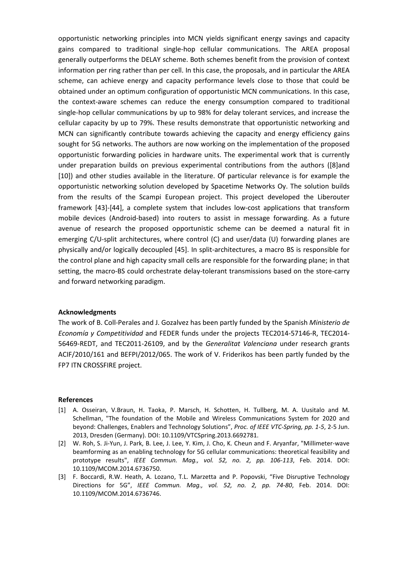opportunistic networking principles into MCN yields significant energy savings and capacity gains compared to traditional single-hop cellular communications. The AREA proposal generally outperforms the DELAY scheme. Both schemes benefit from the provision of context information per ring rather than per cell. In this case, the proposals, and in particular the AREA scheme, can achieve energy and capacity performance levels close to those that could be obtained under an optimum configuration of opportunistic MCN communications. In this case, the context-aware schemes can reduce the energy consumption compared to traditional single-hop cellular communications by up to 98% for delay tolerant services, and increase the cellular capacity by up to 79%. These results demonstrate that opportunistic networking and MCN can significantly contribute towards achieving the capacity and energy efficiency gains sought for 5G networks. The authors are now working on the implementation of the proposed opportunistic forwarding policies in hardware units. The experimental work that is currently under preparation builds on previous experimental contributions from the authors [\(\[8\]a](#page-27-1)nd [\[10\]\)](#page-27-2) and other studies available in the literature. Of particular relevance is for example the opportunistic networking solution developed by Spacetime Networks Oy. The solution builds from the results of the Scampi European project. This project developed the Liberouter framework [\[43\]](#page-28-5)[-\[44\],](#page-28-6) a complete system that includes low-cost applications that transform mobile devices (Android-based) into routers to assist in message forwarding. As a future avenue of research the proposed opportunistic scheme can be deemed a natural fit in emerging C/U-split architectures, where control (C) and user/data (U) forwarding planes are physically and/or logically decoupled [\[45\].](#page-28-7) In split-architectures, a macro BS is responsible for the control plane and high capacity small cells are responsible for the forwarding plane; in that setting, the macro-BS could orchestrate delay-tolerant transmissions based on the store-carry and forward networking paradigm.

#### **Acknowledgments**

The work of B. Coll-Perales and J. Gozalvez has been partly funded by the Spanish *Ministerio de Economía y Competitividad* and FEDER funds under the projects TEC2014-57146-R, TEC2014- 56469-REDT, and TEC2011-26109, and by the *Generalitat Valenciana* under research grants ACIF/2010/161 and BEFPI/2012/065. The work of V. Friderikos has been partly funded by the FP7 ITN CROSSFIRE project.

#### **References**

- <span id="page-26-0"></span>[1] A. Osseiran, V.Braun, H. Taoka, P. Marsch, H. Schotten, H. Tullberg, M. A. Uusitalo and M. Schellman, "The foundation of the Mobile and Wireless Communications System for 2020 and beyond: Challenges, Enablers and Technology Solutions", *Proc. of IEEE VTC-Spring, pp. 1-5*, 2-5 Jun. 2013, Dresden (Germany). DOI: 10.1109/VTCSpring.2013.6692781.
- [2] W. Roh, S. Ji-Yun, J. Park, B. Lee, J. Lee, Y. Kim, J. Cho, K. Cheun and F. Aryanfar, "Millimeter-wave beamforming as an enabling technology for 5G cellular communications: theoretical feasibility and prototype results", *IEEE Commun. Mag., vol. 52, no. 2, pp. 106-113*, Feb. 2014. DOI: 10.1109/MCOM.2014.6736750.
- [3] F. Boccardi, R.W. Heath, A. Lozano, T.L. Marzetta and P. Popovski, "Five Disruptive Technology Directions for 5G", *IEEE Commun. Mag., vol. 52, no. 2, pp. 74-80*, Feb. 2014. DOI: 10.1109/MCOM.2014.6736746.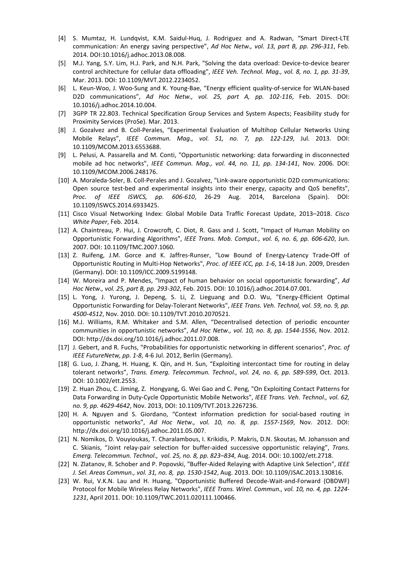- [4] S. Mumtaz, H. Lundqvist, K.M. Saidul-Huq, J. Rodriguez and A. Radwan, "Smart Direct-LTE communication: An energy saving perspective", *Ad Hoc Netw., vol. 13, part B, pp. 296-311*, Feb. 2014. DOI:10.1016/j.adhoc.2013.08.008.
- [5] M.J. Yang, S.Y. Lim, H.J. Park, and N.H. Park, "Solving the data overload: Device-to-device bearer control architecture for cellular data offloading", *IEEE Veh. Technol. Mag., vol. 8, no. 1, pp. 31-39*, Mar. 2013. DOI: 10.1109/MVT.2012.2234052.
- [6] L. Keun-Woo, J. Woo-Sung and K. Young-Bae, "Energy efficient quality-of-service for WLAN-based D2D communications", *Ad Hoc Netw., vol. 25, part A, pp. 102-116*, Feb. 2015. DOI: 10.1016/j.adhoc.2014.10.004.
- [7] 3GPP TR 22.803. Technical Specification Group Services and System Aspects; Feasibility study for Proximity Services (ProSe). Mar. 2013.
- <span id="page-27-1"></span>[8] J. Gozalvez and B. Coll-Perales, "Experimental Evaluation of Multihop Cellular Networks Using Mobile Relays", *IEEE Commun. Mag., vol. 51, no. 7, pp. 122-129*, Jul. 2013. DOI: 10.1109/MCOM.2013.6553688.
- [9] L. Pelusi, A. Passarella and M. Conti, "Opportunistic networking: data forwarding in disconnected mobile ad hoc networks", *IEEE Commun. Mag., vol. 44, no. 11, pp. 134-141*, Nov. 2006. DOI: 10.1109/MCOM.2006.248176.
- <span id="page-27-2"></span>[10] A. Moraleda-Soler, B. Coll-Perales and J. Gozalvez, "Link-aware opportunistic D2D communications: Open source test-bed and experimental insights into their energy, capacity and QoS benefits", *Proc. of IEEE ISWCS, pp. 606-610*, 26-29 Aug. 2014, Barcelona (Spain). DOI: 10.1109/ISWCS.2014.6933425.
- [11] Cisco Visual Networking Index: Global Mobile Data Traffic Forecast Update, 2013–2018. *Cisco White Paper*, Feb. 2014.
- <span id="page-27-0"></span>[12] A. Chaintreau, P. Hui, J. Crowcroft, C. Diot, R. Gass and J. Scott, "Impact of Human Mobility on Opportunistic Forwarding Algorithms", *IEEE Trans. Mob. Comput., vol. 6, no. 6, pp. 606-620*, Jun. 2007. DOI: 10.1109/TMC.2007.1060.
- [13] Z. Ruifeng, J.M. Gorce and K. Jaffres-Runser, "Low Bound of Energy-Latency Trade-Off of Opportunistic Routing in Multi-Hop Networks", *Proc. of IEEE ICC, pp. 1-6*, 14-18 Jun. 2009, Dresden (Germany). DOI: 10.1109/ICC.2009.5199148.
- [14] W. Moreira and P. Mendes, "Impact of human behavior on social opportunistic forwarding", *Ad Hoc Netw., vol. 25, part B, pp. 293-302*, Feb. 2015. DOI: 10.1016/j.adhoc.2014.07.001.
- [15] L. Yong, J. Yurong, J. Depeng, S. Li, Z. Lieguang and D.O. Wu, "Energy-Efficient Optimal Opportunistic Forwarding for Delay-Tolerant Networks", *IEEE Trans. Veh. Technol, vol. 59, no. 9, pp. 4500-4512*, Nov. 2010. DOI: 10.1109/TVT.2010.2070521.
- [16] M.J. Williams, R.M. Whitaker and S.M. Allen, "Decentralised detection of periodic encounter communities in opportunistic networks", *Ad Hoc Netw., vol. 10, no. 8, pp. 1544-1556*, Nov. 2012. DOI: http://dx.doi.org/10.1016/j.adhoc.2011.07.008.
- [17] J. Gebert, and R. Fuchs, "Probabilities for opportunistic networking in different scenarios", *Proc. of IEEE FutureNetw, pp. 1-8*, 4-6 Jul. 2012, Berlin (Germany).
- [18] G. Luo, J. Zhang, H. Huang, K. Qin, and H. Sun, "Exploiting intercontact time for routing in delay tolerant networks", *Trans. Emerg. Telecommun. Technol., vol. 24, no. 6, pp. 589-599*, Oct. 2013. DOI: 10.1002/ett.2553.
- [19] Z. Huan Zhou, C. Jiming, Z. Hongyang, G. Wei Gao and C. Peng, "On Exploiting Contact Patterns for Data Forwarding in Duty-Cycle Opportunistic Mobile Networks", *IEEE Trans. Veh. Technol., vol. 62, no. 9, pp. 4629-4642*, Nov. 2013, DOI: 10.1109/TVT.2013.2267236.
- [20] H. A. Nguyen and S. Giordano, "Context information prediction for social-based routing in opportunistic networks", *Ad Hoc Netw., vol. 10, no. 8, pp. 1557-1569*, Nov. 2012. DOI: http://dx.doi.org/10.1016/j.adhoc.2011.05.007.
- [21] N. Nomikos, D. Vouyioukas, T. Charalambous, I. Krikidis, P. Makris, D.N. Skoutas, M. Johansson and C. Skianis, "Joint relay-pair selection for buffer-aided successive opportunistic relaying", *Trans. Emerg. Telecommun. Technol., vol. 25, no. 8, pp. 823–834*, Aug. 2014. DOI: 10.1002/ett.2718.
- [22] N. Zlatanov, R. Schober and P. Popovski, "Buffer-Aided Relaying with Adaptive Link Selection", *IEEE J. Sel. Areas Commun., vol. 31, no. 8, pp. 1530-1542*, Aug. 2013. DOI: 10.1109/JSAC.2013.130816.
- [23] W. Rui, V.K.N. Lau and H. Huang, "Opportunistic Buffered Decode-Wait-and-Forward (OBDWF) Protocol for Mobile Wireless Relay Networks", *IEEE Trans. Wirel. Commun., vol. 10, no. 4, pp. 1224- 1231*, April 2011. DOI: 10.1109/TWC.2011.020111.100466.